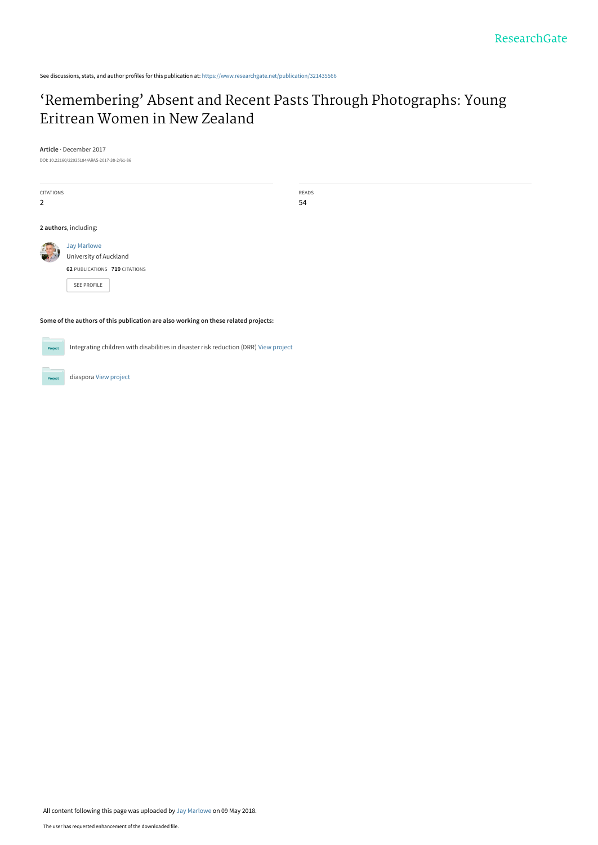See discussions, stats, and author profiles for this publication at: [https://www.researchgate.net/publication/321435566](https://www.researchgate.net/publication/321435566_%27Remembering%27_Absent_and_Recent_Pasts_Through_Photographs_Young_Eritrean_Women_in_New_Zealand?enrichId=rgreq-6885fb2913ca853071237166a36bea30-XXX&enrichSource=Y292ZXJQYWdlOzMyMTQzNTU2NjtBUzo2MjQyOTI4MjM4NTEwMDlAMTUyNTg1NDQxNjExMg%3D%3D&el=1_x_2&_esc=publicationCoverPdf)

# ['Remembering' Absent and Recent Pasts Through Photographs: Young](https://www.researchgate.net/publication/321435566_%27Remembering%27_Absent_and_Recent_Pasts_Through_Photographs_Young_Eritrean_Women_in_New_Zealand?enrichId=rgreq-6885fb2913ca853071237166a36bea30-XXX&enrichSource=Y292ZXJQYWdlOzMyMTQzNTU2NjtBUzo2MjQyOTI4MjM4NTEwMDlAMTUyNTg1NDQxNjExMg%3D%3D&el=1_x_3&_esc=publicationCoverPdf) Eritrean Women in New Zealand

**Article** · December 2017

DOI: 10.22160/22035184/ARAS-2017-38-2/61-86

| <b>CITATIONS</b><br>2 |                                                                        | READS<br>54 |  |  |
|-----------------------|------------------------------------------------------------------------|-------------|--|--|
| 2 authors, including: |                                                                        |             |  |  |
|                       | Jay Marlowe<br>University of Auckland<br>62 PUBLICATIONS 719 CITATIONS |             |  |  |
|                       | <b>SEE PROFILE</b>                                                     |             |  |  |

**Some of the authors of this publication are also working on these related projects:**

Integrating children with disabilities in disaster risk reduction (DRR) [View project](https://www.researchgate.net/project/Integrating-children-with-disabilities-in-disaster-risk-reduction-DRR?enrichId=rgreq-6885fb2913ca853071237166a36bea30-XXX&enrichSource=Y292ZXJQYWdlOzMyMTQzNTU2NjtBUzo2MjQyOTI4MjM4NTEwMDlAMTUyNTg1NDQxNjExMg%3D%3D&el=1_x_9&_esc=publicationCoverPdf)  $Prc$ 



All content following this page was uploaded by [Jay Marlowe](https://www.researchgate.net/profile/Jay-Marlowe?enrichId=rgreq-6885fb2913ca853071237166a36bea30-XXX&enrichSource=Y292ZXJQYWdlOzMyMTQzNTU2NjtBUzo2MjQyOTI4MjM4NTEwMDlAMTUyNTg1NDQxNjExMg%3D%3D&el=1_x_10&_esc=publicationCoverPdf) on 09 May 2018.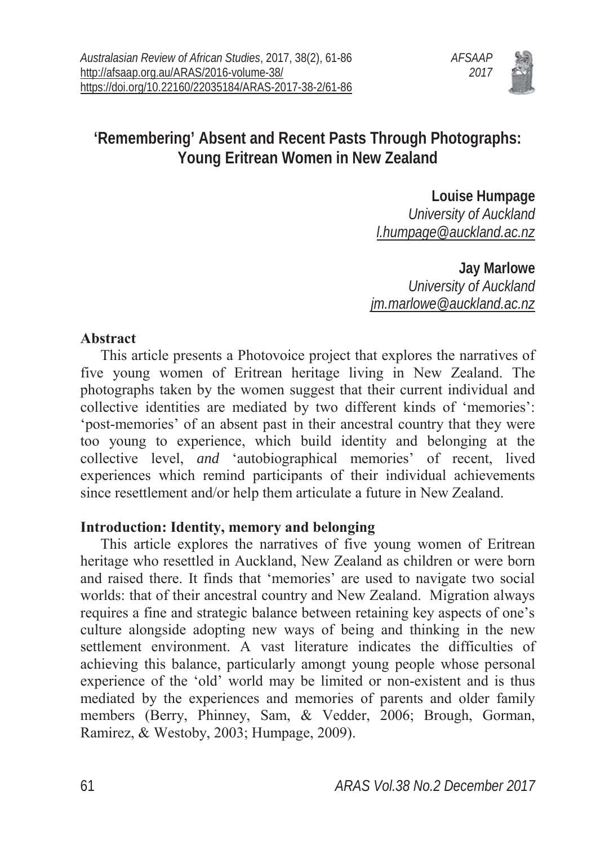

## **'Remembering' Absent and Recent Pasts Through Photographs: Young Eritrean Women in New Zealand**

**Louise Humpage** *University of Auckland l.humpage@auckland.ac.nz*

**Jay Marlowe** *University of Auckland jm.marlowe@auckland.ac.nz*

### **Abstract**

This article presents a Photovoice project that explores the narratives of five young women of Eritrean heritage living in New Zealand. The photographs taken by the women suggest that their current individual and collective identities are mediated by two different kinds of 'memories': 'post-memories' of an absent past in their ancestral country that they were too young to experience, which build identity and belonging at the collective level, *and* 'autobiographical memories' of recent, lived experiences which remind participants of their individual achievements since resettlement and/or help them articulate a future in New Zealand.

### **Introduction: Identity, memory and belonging**

This article explores the narratives of five young women of Eritrean heritage who resettled in Auckland, New Zealand as children or were born and raised there. It finds that 'memories' are used to navigate two social worlds: that of their ancestral country and New Zealand. Migration always requires a fine and strategic balance between retaining key aspects of one's culture alongside adopting new ways of being and thinking in the new settlement environment. A vast literature indicates the difficulties of achieving this balance, particularly amongt young people whose personal experience of the 'old' world may be limited or non-existent and is thus mediated by the experiences and memories of parents and older family members (Berry, Phinney, Sam, & Vedder, 2006; Brough, Gorman, Ramirez, & Westoby, 2003; Humpage, 2009).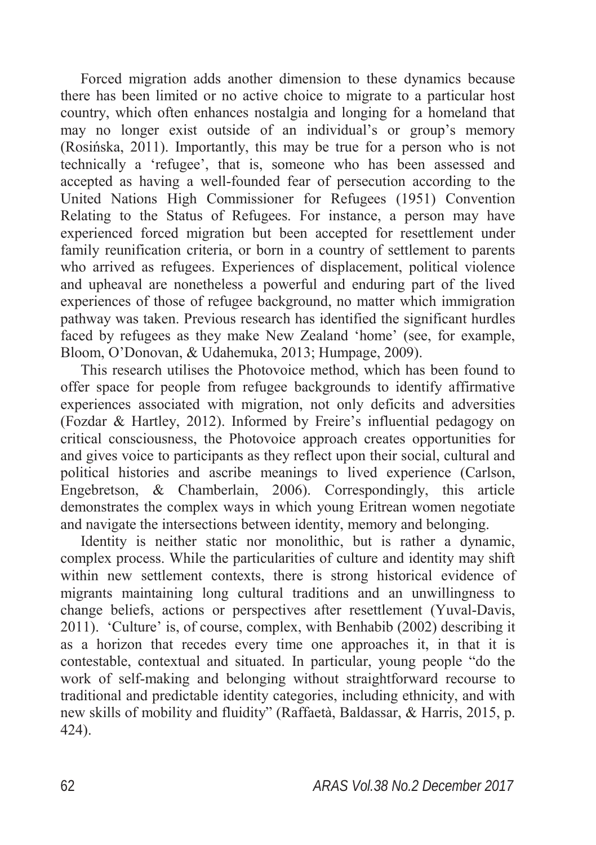Forced migration adds another dimension to these dynamics because there has been limited or no active choice to migrate to a particular host country, which often enhances nostalgia and longing for a homeland that may no longer exist outside of an individual's or group's memory  $(Rosińska, 2011)$ . Importantly, this may be true for a person who is not technically a 'refugee', that is, someone who has been assessed and accepted as having a well-founded fear of persecution according to the United Nations High Commissioner for Refugees (1951) Convention Relating to the Status of Refugees. For instance, a person may have experienced forced migration but been accepted for resettlement under family reunification criteria, or born in a country of settlement to parents who arrived as refugees. Experiences of displacement, political violence and upheaval are nonetheless a powerful and enduring part of the lived experiences of those of refugee background, no matter which immigration pathway was taken. Previous research has identified the significant hurdles faced by refugees as they make New Zealand 'home' (see, for example, Bloom, O'Donovan, & Udahemuka, 2013; Humpage, 2009).

This research utilises the Photovoice method, which has been found to offer space for people from refugee backgrounds to identify affirmative experiences associated with migration, not only deficits and adversities (Fozdar & Hartley, 2012). Informed by Freire's influential pedagogy on critical consciousness, the Photovoice approach creates opportunities for and gives voice to participants as they reflect upon their social, cultural and political histories and ascribe meanings to lived experience (Carlson, Engebretson, & Chamberlain, 2006). Correspondingly, this article demonstrates the complex ways in which young Eritrean women negotiate and navigate the intersections between identity, memory and belonging.

Identity is neither static nor monolithic, but is rather a dynamic, complex process. While the particularities of culture and identity may shift within new settlement contexts, there is strong historical evidence of migrants maintaining long cultural traditions and an unwillingness to change beliefs, actions or perspectives after resettlement (Yuval-Davis, 2011). 'Culture' is, of course, complex, with Benhabib (2002) describing it as a horizon that recedes every time one approaches it, in that it is contestable, contextual and situated. In particular, young people "do the work of self-making and belonging without straightforward recourse to traditional and predictable identity categories, including ethnicity, and with new skills of mobility and fluidity" (Raffaetà, Baldassar, & Harris, 2015, p. 424).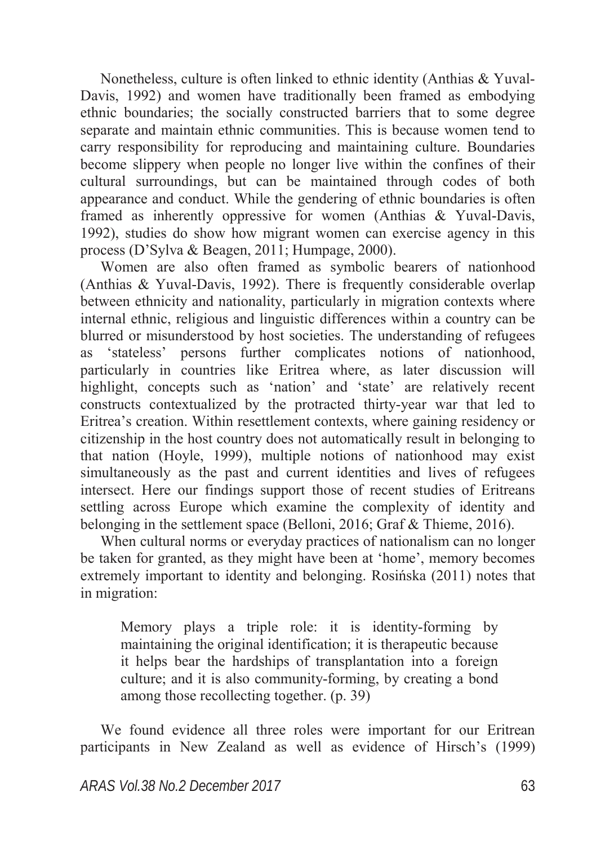Nonetheless, culture is often linked to ethnic identity (Anthias & Yuval-Davis, 1992) and women have traditionally been framed as embodying ethnic boundaries; the socially constructed barriers that to some degree separate and maintain ethnic communities. This is because women tend to carry responsibility for reproducing and maintaining culture. Boundaries become slippery when people no longer live within the confines of their cultural surroundings, but can be maintained through codes of both appearance and conduct. While the gendering of ethnic boundaries is often framed as inherently oppressive for women (Anthias & Yuval-Davis, 1992), studies do show how migrant women can exercise agency in this process (D'Sylva & Beagen, 2011; Humpage, 2000).

Women are also often framed as symbolic bearers of nationhood (Anthias & Yuval-Davis, 1992). There is frequently considerable overlap between ethnicity and nationality, particularly in migration contexts where internal ethnic, religious and linguistic differences within a country can be blurred or misunderstood by host societies. The understanding of refugees as 'stateless' persons further complicates notions of nationhood, particularly in countries like Eritrea where, as later discussion will highlight, concepts such as 'nation' and 'state' are relatively recent constructs contextualized by the protracted thirty-year war that led to Eritrea's creation. Within resettlement contexts, where gaining residency or citizenship in the host country does not automatically result in belonging to that nation (Hoyle, 1999), multiple notions of nationhood may exist simultaneously as the past and current identities and lives of refugees intersect. Here our findings support those of recent studies of Eritreans settling across Europe which examine the complexity of identity and belonging in the settlement space (Belloni, 2016; Graf & Thieme, 2016).

When cultural norms or everyday practices of nationalism can no longer be taken for granted, as they might have been at 'home', memory becomes extremely important to identity and belonging. Rosińska (2011) notes that in migration:

Memory plays a triple role: it is identity-forming by maintaining the original identification; it is therapeutic because it helps bear the hardships of transplantation into a foreign culture; and it is also community-forming, by creating a bond among those recollecting together. (p. 39)

We found evidence all three roles were important for our Eritrean participants in New Zealand as well as evidence of Hirsch's (1999)

*ARAS Vol.38 No.2 December 2017* 63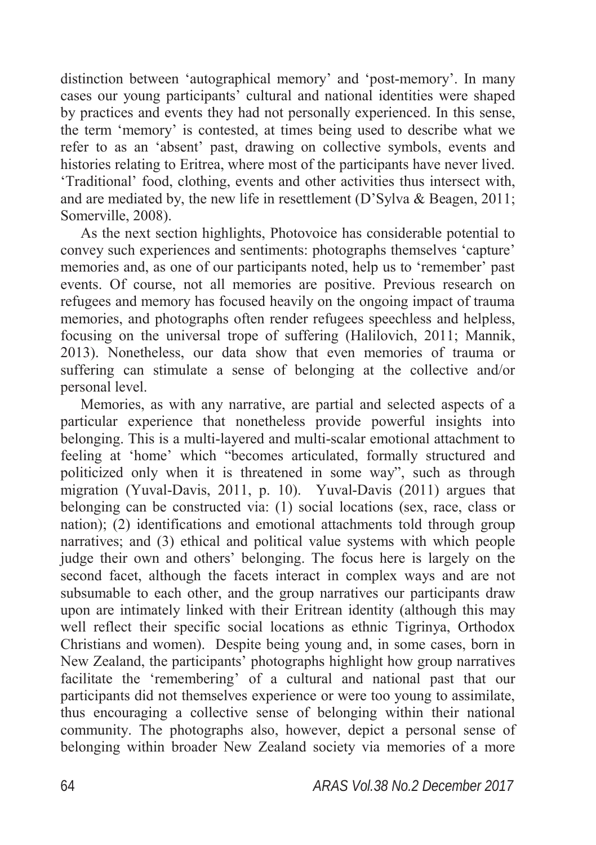distinction between 'autographical memory' and 'post-memory'. In many cases our young participants' cultural and national identities were shaped by practices and events they had not personally experienced. In this sense, the term 'memory' is contested, at times being used to describe what we refer to as an 'absent' past, drawing on collective symbols, events and histories relating to Eritrea, where most of the participants have never lived. 'Traditional' food, clothing, events and other activities thus intersect with, and are mediated by, the new life in resettlement (D'Sylva & Beagen, 2011; Somerville, 2008).

As the next section highlights, Photovoice has considerable potential to convey such experiences and sentiments: photographs themselves 'capture' memories and, as one of our participants noted, help us to 'remember' past events. Of course, not all memories are positive. Previous research on refugees and memory has focused heavily on the ongoing impact of trauma memories, and photographs often render refugees speechless and helpless, focusing on the universal trope of suffering (Halilovich, 2011; Mannik, 2013). Nonetheless, our data show that even memories of trauma or suffering can stimulate a sense of belonging at the collective and/or personal level.

Memories, as with any narrative, are partial and selected aspects of a particular experience that nonetheless provide powerful insights into belonging. This is a multi-layered and multi-scalar emotional attachment to feeling at 'home' which "becomes articulated, formally structured and politicized only when it is threatened in some way", such as through migration (Yuval-Davis, 2011, p. 10). Yuval-Davis (2011) argues that belonging can be constructed via: (1) social locations (sex, race, class or nation); (2) identifications and emotional attachments told through group narratives; and (3) ethical and political value systems with which people judge their own and others' belonging. The focus here is largely on the second facet, although the facets interact in complex ways and are not subsumable to each other, and the group narratives our participants draw upon are intimately linked with their Eritrean identity (although this may well reflect their specific social locations as ethnic Tigrinya, Orthodox Christians and women). Despite being young and, in some cases, born in New Zealand, the participants' photographs highlight how group narratives facilitate the 'remembering' of a cultural and national past that our participants did not themselves experience or were too young to assimilate, thus encouraging a collective sense of belonging within their national community. The photographs also, however, depict a personal sense of belonging within broader New Zealand society via memories of a more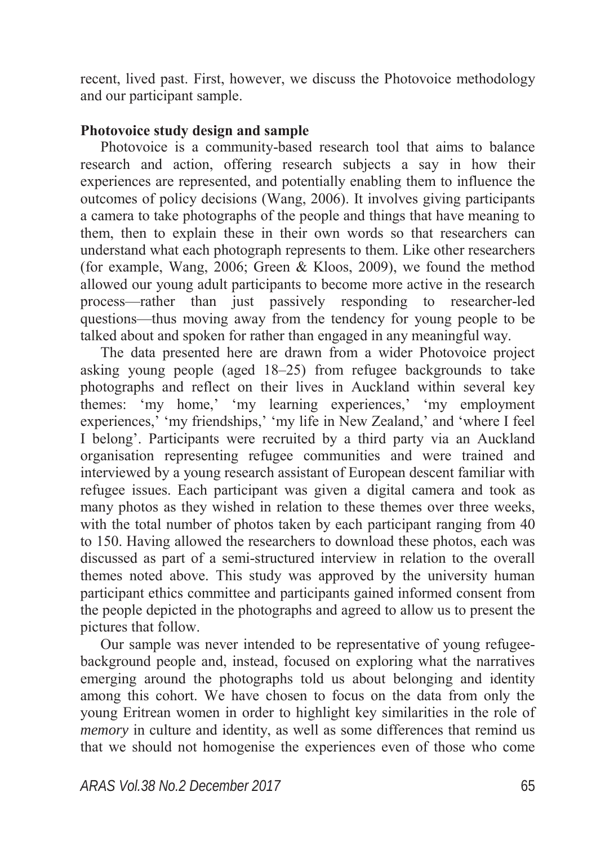recent, lived past. First, however, we discuss the Photovoice methodology and our participant sample.

### **Photovoice study design and sample**

Photovoice is a community-based research tool that aims to balance research and action, offering research subjects a say in how their experiences are represented, and potentially enabling them to influence the outcomes of policy decisions (Wang, 2006). It involves giving participants a camera to take photographs of the people and things that have meaning to them, then to explain these in their own words so that researchers can understand what each photograph represents to them. Like other researchers (for example, Wang, 2006; Green & Kloos, 2009), we found the method allowed our young adult participants to become more active in the research process—rather than just passively responding to researcher-led questions—thus moving away from the tendency for young people to be talked about and spoken for rather than engaged in any meaningful way.

The data presented here are drawn from a wider Photovoice project asking young people (aged 18–25) from refugee backgrounds to take photographs and reflect on their lives in Auckland within several key themes: 'my home,' 'my learning experiences,' 'my employment experiences,' 'my friendships,' 'my life in New Zealand,' and 'where I feel I belong'. Participants were recruited by a third party via an Auckland organisation representing refugee communities and were trained and interviewed by a young research assistant of European descent familiar with refugee issues. Each participant was given a digital camera and took as many photos as they wished in relation to these themes over three weeks, with the total number of photos taken by each participant ranging from 40 to 150. Having allowed the researchers to download these photos, each was discussed as part of a semi-structured interview in relation to the overall themes noted above. This study was approved by the university human participant ethics committee and participants gained informed consent from the people depicted in the photographs and agreed to allow us to present the pictures that follow.

Our sample was never intended to be representative of young refugeebackground people and, instead, focused on exploring what the narratives emerging around the photographs told us about belonging and identity among this cohort. We have chosen to focus on the data from only the young Eritrean women in order to highlight key similarities in the role of *memory* in culture and identity, as well as some differences that remind us that we should not homogenise the experiences even of those who come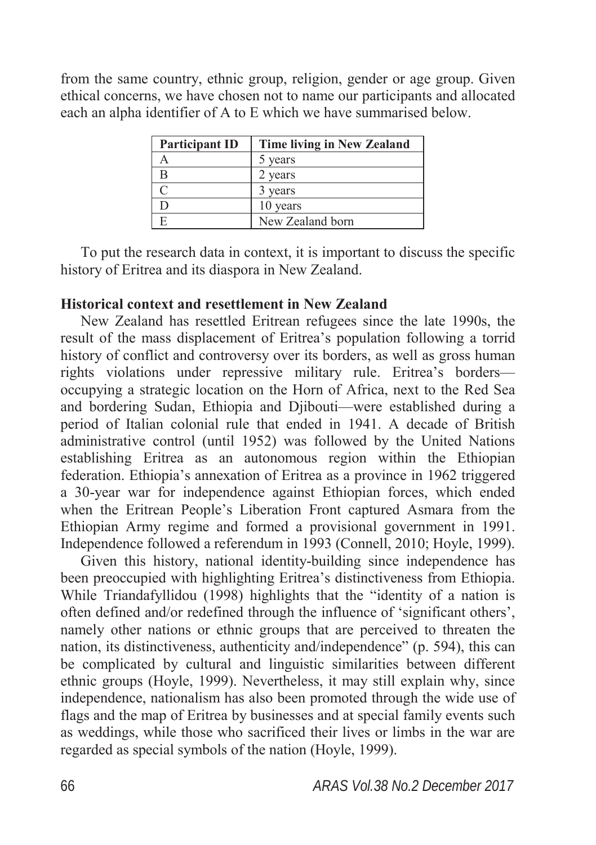from the same country, ethnic group, religion, gender or age group. Given ethical concerns, we have chosen not to name our participants and allocated each an alpha identifier of A to E which we have summarised below.

| <b>Participant ID</b> | <b>Time living in New Zealand</b> |
|-----------------------|-----------------------------------|
|                       | years                             |
| R                     | 2 years                           |
|                       | vears                             |
|                       | 10 years                          |
|                       | New Zealand born                  |

To put the research data in context, it is important to discuss the specific history of Eritrea and its diaspora in New Zealand.

### **Historical context and resettlement in New Zealand**

New Zealand has resettled Eritrean refugees since the late 1990s, the result of the mass displacement of Eritrea's population following a torrid history of conflict and controversy over its borders, as well as gross human rights violations under repressive military rule. Eritrea's borders occupying a strategic location on the Horn of Africa, next to the Red Sea and bordering Sudan, Ethiopia and Djibouti—were established during a period of Italian colonial rule that ended in 1941. A decade of British administrative control (until 1952) was followed by the United Nations establishing Eritrea as an autonomous region within the Ethiopian federation. Ethiopia's annexation of Eritrea as a province in 1962 triggered a 30-year war for independence against Ethiopian forces, which ended when the Eritrean People's Liberation Front captured Asmara from the Ethiopian Army regime and formed a provisional government in 1991. Independence followed a referendum in 1993 (Connell, 2010; Hoyle, 1999).

Given this history, national identity-building since independence has been preoccupied with highlighting Eritrea's distinctiveness from Ethiopia. While Triandafyllidou (1998) highlights that the "identity of a nation is often defined and/or redefined through the influence of 'significant others', namely other nations or ethnic groups that are perceived to threaten the nation, its distinctiveness, authenticity and/independence" (p. 594), this can be complicated by cultural and linguistic similarities between different ethnic groups (Hoyle, 1999). Nevertheless, it may still explain why, since independence, nationalism has also been promoted through the wide use of flags and the map of Eritrea by businesses and at special family events such as weddings, while those who sacrificed their lives or limbs in the war are regarded as special symbols of the nation (Hoyle, 1999).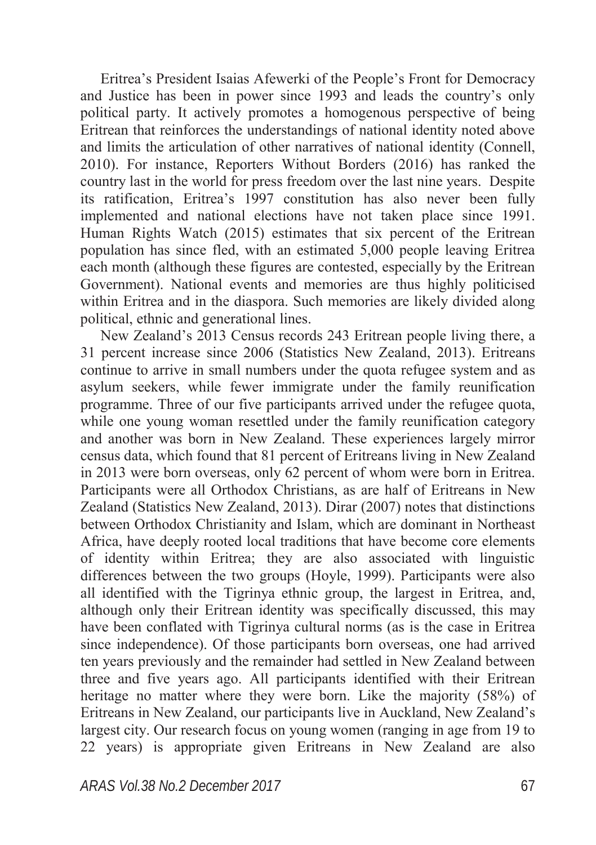Eritrea's President Isaias Afewerki of the People's Front for Democracy and Justice has been in power since 1993 and leads the country's only political party. It actively promotes a homogenous perspective of being Eritrean that reinforces the understandings of national identity noted above and limits the articulation of other narratives of national identity (Connell, 2010). For instance, Reporters Without Borders (2016) has ranked the country last in the world for press freedom over the last nine years. Despite its ratification, Eritrea's 1997 constitution has also never been fully implemented and national elections have not taken place since 1991. Human Rights Watch (2015) estimates that six percent of the Eritrean population has since fled, with an estimated 5,000 people leaving Eritrea each month (although these figures are contested, especially by the Eritrean Government). National events and memories are thus highly politicised within Eritrea and in the diaspora. Such memories are likely divided along political, ethnic and generational lines.

New Zealand's 2013 Census records 243 Eritrean people living there, a 31 percent increase since 2006 (Statistics New Zealand, 2013). Eritreans continue to arrive in small numbers under the quota refugee system and as asylum seekers, while fewer immigrate under the family reunification programme. Three of our five participants arrived under the refugee quota, while one young woman resettled under the family reunification category and another was born in New Zealand. These experiences largely mirror census data, which found that 81 percent of Eritreans living in New Zealand in 2013 were born overseas, only 62 percent of whom were born in Eritrea. Participants were all Orthodox Christians, as are half of Eritreans in New Zealand (Statistics New Zealand, 2013). Dirar (2007) notes that distinctions between Orthodox Christianity and Islam, which are dominant in Northeast Africa, have deeply rooted local traditions that have become core elements of identity within Eritrea; they are also associated with linguistic differences between the two groups (Hoyle, 1999). Participants were also all identified with the Tigrinya ethnic group, the largest in Eritrea, and, although only their Eritrean identity was specifically discussed, this may have been conflated with Tigrinya cultural norms (as is the case in Eritrea since independence). Of those participants born overseas, one had arrived ten years previously and the remainder had settled in New Zealand between three and five years ago. All participants identified with their Eritrean heritage no matter where they were born. Like the majority (58%) of Eritreans in New Zealand, our participants live in Auckland, New Zealand's largest city. Our research focus on young women (ranging in age from 19 to 22 years) is appropriate given Eritreans in New Zealand are also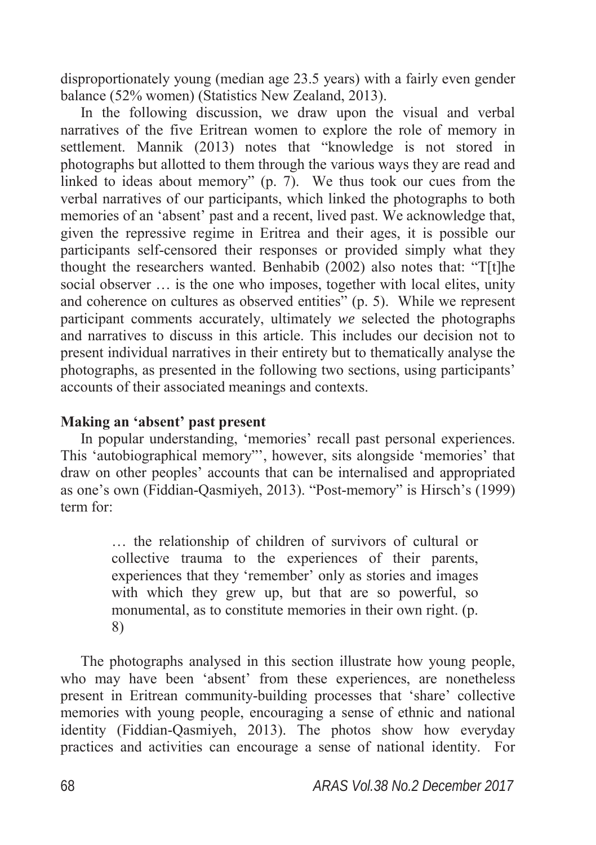disproportionately young (median age 23.5 years) with a fairly even gender balance (52% women) (Statistics New Zealand, 2013).

In the following discussion, we draw upon the visual and verbal narratives of the five Eritrean women to explore the role of memory in settlement. Mannik (2013) notes that "knowledge is not stored in photographs but allotted to them through the various ways they are read and linked to ideas about memory" (p. 7). We thus took our cues from the verbal narratives of our participants, which linked the photographs to both memories of an 'absent' past and a recent, lived past. We acknowledge that, given the repressive regime in Eritrea and their ages, it is possible our participants self-censored their responses or provided simply what they thought the researchers wanted. Benhabib (2002) also notes that: "T[t]he social observer … is the one who imposes, together with local elites, unity and coherence on cultures as observed entities" (p. 5). While we represent participant comments accurately, ultimately *we* selected the photographs and narratives to discuss in this article. This includes our decision not to present individual narratives in their entirety but to thematically analyse the photographs, as presented in the following two sections, using participants' accounts of their associated meanings and contexts.

### **Making an 'absent' past present**

In popular understanding, 'memories' recall past personal experiences. This 'autobiographical memory"', however, sits alongside 'memories' that draw on other peoples' accounts that can be internalised and appropriated as one's own (Fiddian-Qasmiyeh, 2013). "Post-memory" is Hirsch's (1999) term for:

> … the relationship of children of survivors of cultural or collective trauma to the experiences of their parents, experiences that they 'remember' only as stories and images with which they grew up, but that are so powerful, so monumental, as to constitute memories in their own right. (p. 8)

The photographs analysed in this section illustrate how young people, who may have been 'absent' from these experiences, are nonetheless present in Eritrean community-building processes that 'share' collective memories with young people, encouraging a sense of ethnic and national identity (Fiddian-Qasmiyeh, 2013). The photos show how everyday practices and activities can encourage a sense of national identity. For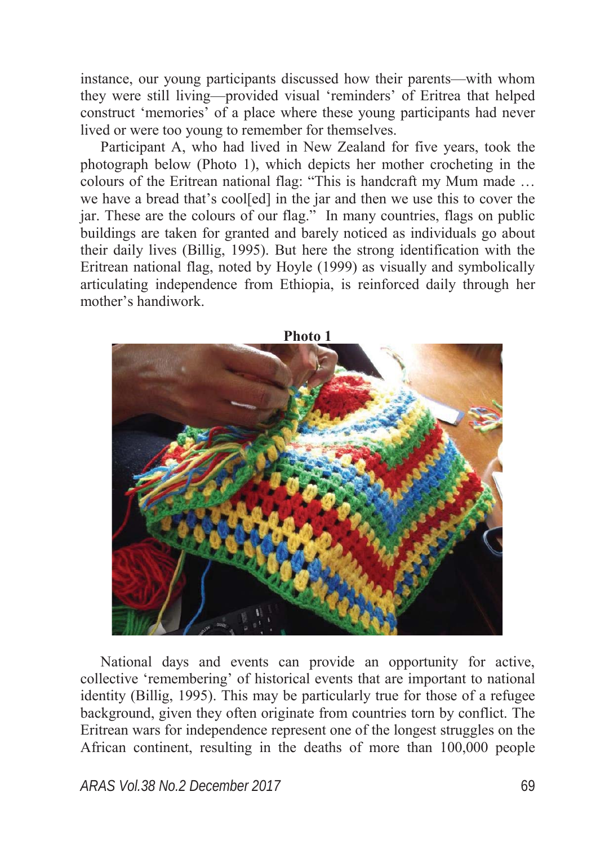instance, our young participants discussed how their parents—with whom they were still living—provided visual 'reminders' of Eritrea that helped construct 'memories' of a place where these young participants had never lived or were too young to remember for themselves.

Participant A, who had lived in New Zealand for five years, took the photograph below (Photo 1), which depicts her mother crocheting in the colours of the Eritrean national flag: "This is handcraft my Mum made … we have a bread that's cool[ed] in the jar and then we use this to cover the jar. These are the colours of our flag." In many countries, flags on public buildings are taken for granted and barely noticed as individuals go about their daily lives (Billig, 1995). But here the strong identification with the Eritrean national flag, noted by Hoyle (1999) as visually and symbolically articulating independence from Ethiopia, is reinforced daily through her mother's handiwork.



National days and events can provide an opportunity for active, collective 'remembering' of historical events that are important to national identity (Billig, 1995). This may be particularly true for those of a refugee background, given they often originate from countries torn by conflict. The Eritrean wars for independence represent one of the longest struggles on the African continent, resulting in the deaths of more than 100,000 people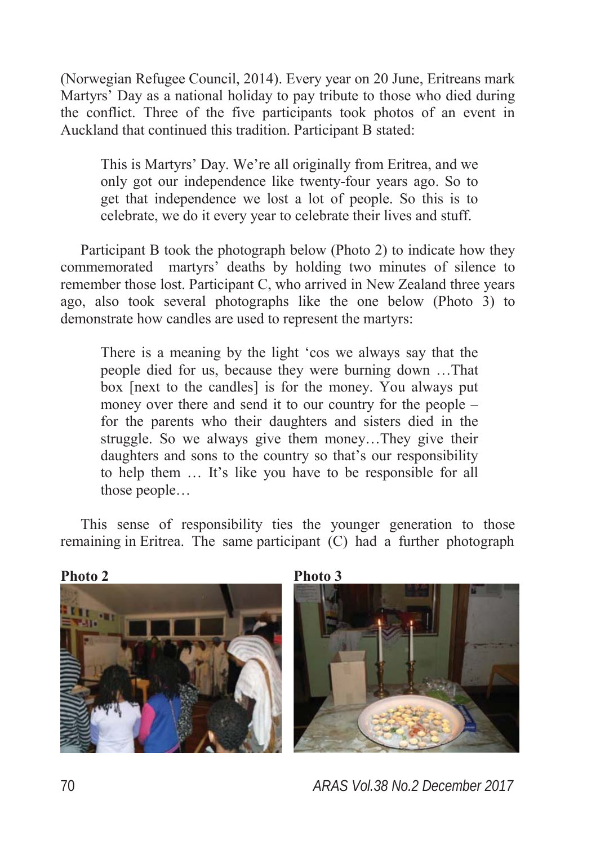(Norwegian Refugee Council, 2014). Every year on 20 June, Eritreans mark Martyrs' Day as a national holiday to pay tribute to those who died during the conflict. Three of the five participants took photos of an event in Auckland that continued this tradition. Participant B stated:

This is Martyrs' Day. We're all originally from Eritrea, and we only got our independence like twenty-four years ago. So to get that independence we lost a lot of people. So this is to celebrate, we do it every year to celebrate their lives and stuff.

Participant B took the photograph below (Photo 2) to indicate how they commemorated martyrs' deaths by holding two minutes of silence to remember those lost. Participant C, who arrived in New Zealand three years ago, also took several photographs like the one below (Photo 3) to demonstrate how candles are used to represent the martyrs:

There is a meaning by the light 'cos we always say that the people died for us, because they were burning down …That box [next to the candles] is for the money. You always put money over there and send it to our country for the people – for the parents who their daughters and sisters died in the struggle. So we always give them money…They give their daughters and sons to the country so that's our responsibility to help them … It's like you have to be responsible for all those people…

This sense of responsibility ties the younger generation to those remaining in Eritrea. The same participant (C) had a further photograph







70 *ARAS Vol.38 No.2 December 2017*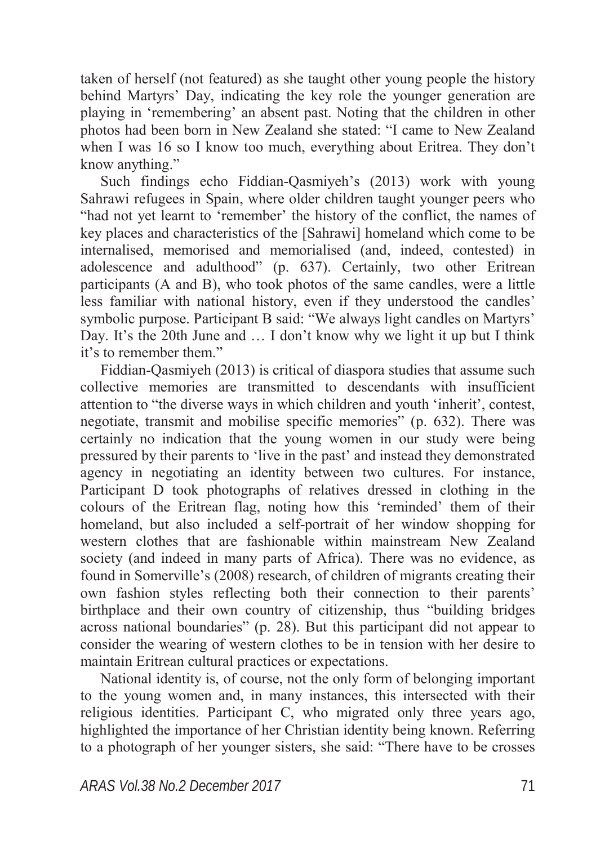taken of herself (not featured) as she taught other young people the history behind Martyrs' Day, indicating the key role the younger generation are playing in 'remembering' an absent past. Noting that the children in other photos had been born in New Zealand she stated: "I came to New Zealand when I was 16 so I know too much, everything about Eritrea. They don't know anything."

Such findings echo Fiddian-Qasmiyeh's (2013) work with young Sahrawi refugees in Spain, where older children taught younger peers who "had not yet learnt to 'remember' the history of the conflict, the names of key places and characteristics of the [Sahrawi] homeland which come to be internalised, memorised and memorialised (and, indeed, contested) in adolescence and adulthood" (p. 637). Certainly, two other Eritrean participants (A and B), who took photos of the same candles, were a little less familiar with national history, even if they understood the candles' symbolic purpose. Participant B said: "We always light candles on Martyrs' Day. It's the 20th June and … I don't know why we light it up but I think it's to remember them."

Fiddian-Qasmiyeh (2013) is critical of diaspora studies that assume such collective memories are transmitted to descendants with insufficient attention to "the diverse ways in which children and youth 'inherit', contest, negotiate, transmit and mobilise specific memories" (p. 632). There was certainly no indication that the young women in our study were being pressured by their parents to 'live in the past' and instead they demonstrated agency in negotiating an identity between two cultures. For instance, Participant D took photographs of relatives dressed in clothing in the colours of the Eritrean flag, noting how this 'reminded' them of their homeland, but also included a self-portrait of her window shopping for western clothes that are fashionable within mainstream New Zealand society (and indeed in many parts of Africa). There was no evidence, as found in Somerville's (2008) research, of children of migrants creating their own fashion styles reflecting both their connection to their parents' birthplace and their own country of citizenship, thus "building bridges across national boundaries" (p. 28). But this participant did not appear to consider the wearing of western clothes to be in tension with her desire to maintain Eritrean cultural practices or expectations.

National identity is, of course, not the only form of belonging important to the young women and, in many instances, this intersected with their religious identities. Participant C, who migrated only three years ago, highlighted the importance of her Christian identity being known. Referring to a photograph of her younger sisters, she said: "There have to be crosses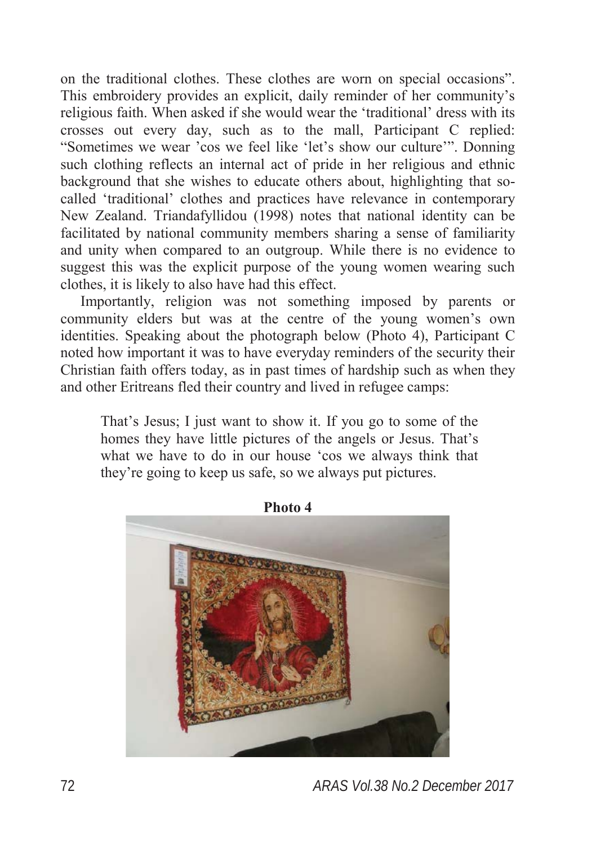on the traditional clothes. These clothes are worn on special occasions". This embroidery provides an explicit, daily reminder of her community's religious faith. When asked if she would wear the 'traditional' dress with its crosses out every day, such as to the mall, Participant C replied: "Sometimes we wear 'cos we feel like 'let's show our culture'". Donning such clothing reflects an internal act of pride in her religious and ethnic background that she wishes to educate others about, highlighting that socalled 'traditional' clothes and practices have relevance in contemporary New Zealand. Triandafyllidou (1998) notes that national identity can be facilitated by national community members sharing a sense of familiarity and unity when compared to an outgroup. While there is no evidence to suggest this was the explicit purpose of the young women wearing such clothes, it is likely to also have had this effect.

Importantly, religion was not something imposed by parents or community elders but was at the centre of the young women's own identities. Speaking about the photograph below (Photo 4), Participant C noted how important it was to have everyday reminders of the security their Christian faith offers today, as in past times of hardship such as when they and other Eritreans fled their country and lived in refugee camps:

That's Jesus; I just want to show it. If you go to some of the homes they have little pictures of the angels or Jesus. That's what we have to do in our house 'cos we always think that they're going to keep us safe, so we always put pictures.



**Photo 4**

72 *ARAS Vol.38 No.2 December 2017*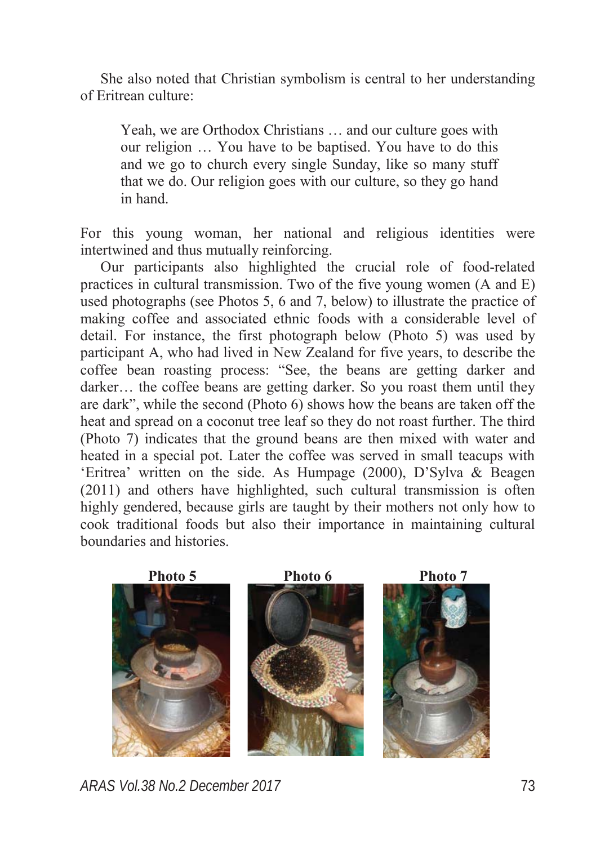She also noted that Christian symbolism is central to her understanding of Eritrean culture:

Yeah, we are Orthodox Christians … and our culture goes with our religion … You have to be baptised. You have to do this and we go to church every single Sunday, like so many stuff that we do. Our religion goes with our culture, so they go hand in hand.

For this young woman, her national and religious identities were intertwined and thus mutually reinforcing.

Our participants also highlighted the crucial role of food-related practices in cultural transmission. Two of the five young women (A and E) used photographs (see Photos 5, 6 and 7, below) to illustrate the practice of making coffee and associated ethnic foods with a considerable level of detail. For instance, the first photograph below (Photo 5) was used by participant A, who had lived in New Zealand for five years, to describe the coffee bean roasting process: "See, the beans are getting darker and darker... the coffee beans are getting darker. So you roast them until they are dark", while the second (Photo 6) shows how the beans are taken off the heat and spread on a coconut tree leaf so they do not roast further. The third (Photo 7) indicates that the ground beans are then mixed with water and heated in a special pot. Later the coffee was served in small teacups with 'Eritrea' written on the side. As Humpage (2000), D'Sylva & Beagen (2011) and others have highlighted, such cultural transmission is often highly gendered, because girls are taught by their mothers not only how to cook traditional foods but also their importance in maintaining cultural boundaries and histories.



*ARAS Vol.38 No.2 December 2017* 73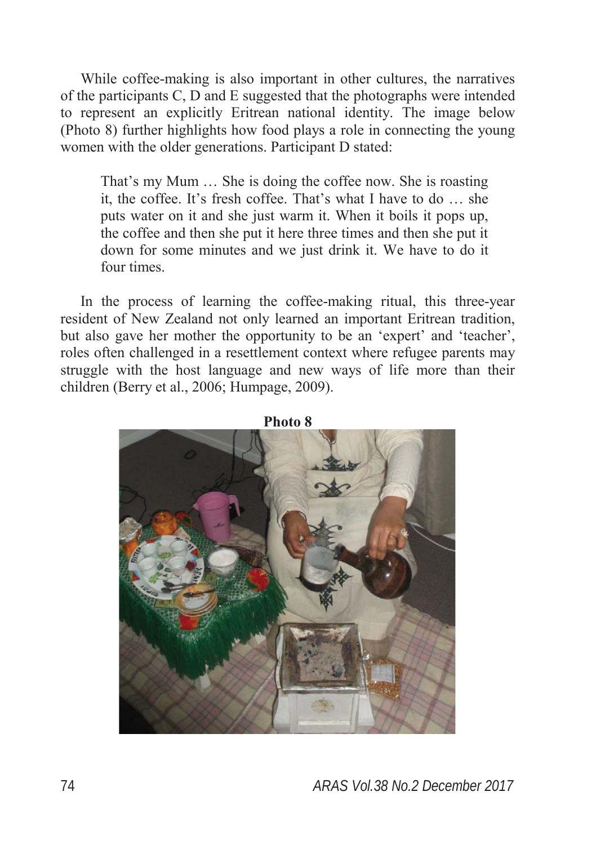While coffee-making is also important in other cultures, the narratives of the participants C, D and E suggested that the photographs were intended to represent an explicitly Eritrean national identity. The image below (Photo 8) further highlights how food plays a role in connecting the young women with the older generations. Participant D stated:

That's my Mum … She is doing the coffee now. She is roasting it, the coffee. It's fresh coffee. That's what I have to do … she puts water on it and she just warm it. When it boils it pops up, the coffee and then she put it here three times and then she put it down for some minutes and we just drink it. We have to do it four times.

In the process of learning the coffee-making ritual, this three-year resident of New Zealand not only learned an important Eritrean tradition, but also gave her mother the opportunity to be an 'expert' and 'teacher', roles often challenged in a resettlement context where refugee parents may struggle with the host language and new ways of life more than their children (Berry et al., 2006; Humpage, 2009).



**Photo 8**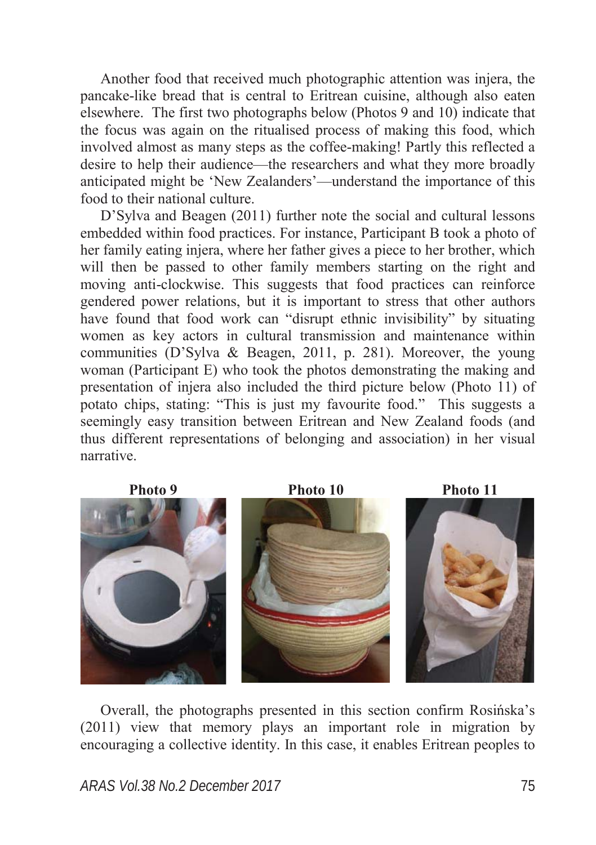Another food that received much photographic attention was injera, the pancake-like bread that is central to Eritrean cuisine, although also eaten elsewhere. The first two photographs below (Photos 9 and 10) indicate that the focus was again on the ritualised process of making this food, which involved almost as many steps as the coffee-making! Partly this reflected a desire to help their audience—the researchers and what they more broadly anticipated might be 'New Zealanders'—understand the importance of this food to their national culture.

D'Sylva and Beagen (2011) further note the social and cultural lessons embedded within food practices. For instance, Participant B took a photo of her family eating injera, where her father gives a piece to her brother, which will then be passed to other family members starting on the right and moving anti-clockwise. This suggests that food practices can reinforce gendered power relations, but it is important to stress that other authors have found that food work can "disrupt ethnic invisibility" by situating women as key actors in cultural transmission and maintenance within communities (D'Sylva & Beagen, 2011, p. 281). Moreover, the young woman (Participant E) who took the photos demonstrating the making and presentation of injera also included the third picture below (Photo 11) of potato chips, stating: "This is just my favourite food." This suggests a seemingly easy transition between Eritrean and New Zealand foods (and thus different representations of belonging and association) in her visual narrative.



Overall, the photographs presented in this section confirm Rosińska's (2011) view that memory plays an important role in migration by encouraging a collective identity. In this case, it enables Eritrean peoples to

*ARAS Vol.38 No.2 December 2017* 75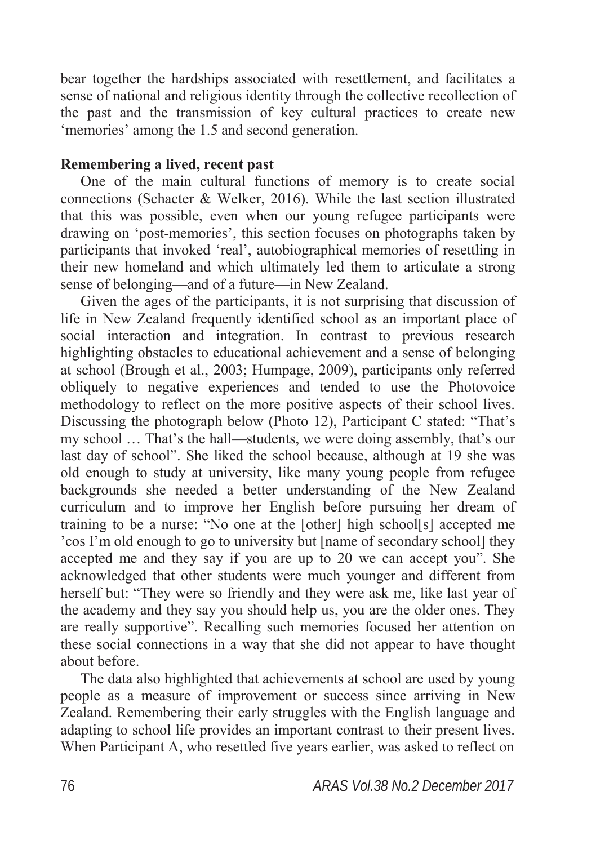bear together the hardships associated with resettlement, and facilitates a sense of national and religious identity through the collective recollection of the past and the transmission of key cultural practices to create new 'memories' among the 1.5 and second generation.

### **Remembering a lived, recent past**

One of the main cultural functions of memory is to create social connections (Schacter & Welker, 2016). While the last section illustrated that this was possible, even when our young refugee participants were drawing on 'post-memories', this section focuses on photographs taken by participants that invoked 'real', autobiographical memories of resettling in their new homeland and which ultimately led them to articulate a strong sense of belonging—and of a future—in New Zealand.

Given the ages of the participants, it is not surprising that discussion of life in New Zealand frequently identified school as an important place of social interaction and integration. In contrast to previous research highlighting obstacles to educational achievement and a sense of belonging at school (Brough et al., 2003; Humpage, 2009), participants only referred obliquely to negative experiences and tended to use the Photovoice methodology to reflect on the more positive aspects of their school lives. Discussing the photograph below (Photo 12), Participant C stated: "That's my school … That's the hall—students, we were doing assembly, that's our last day of school". She liked the school because, although at 19 she was old enough to study at university, like many young people from refugee backgrounds she needed a better understanding of the New Zealand curriculum and to improve her English before pursuing her dream of training to be a nurse: "No one at the [other] high school[s] accepted me 'cos I'm old enough to go to university but [name of secondary school] they accepted me and they say if you are up to 20 we can accept you". She acknowledged that other students were much younger and different from herself but: "They were so friendly and they were ask me, like last year of the academy and they say you should help us, you are the older ones. They are really supportive". Recalling such memories focused her attention on these social connections in a way that she did not appear to have thought about before.

The data also highlighted that achievements at school are used by young people as a measure of improvement or success since arriving in New Zealand. Remembering their early struggles with the English language and adapting to school life provides an important contrast to their present lives. When Participant A, who resettled five years earlier, was asked to reflect on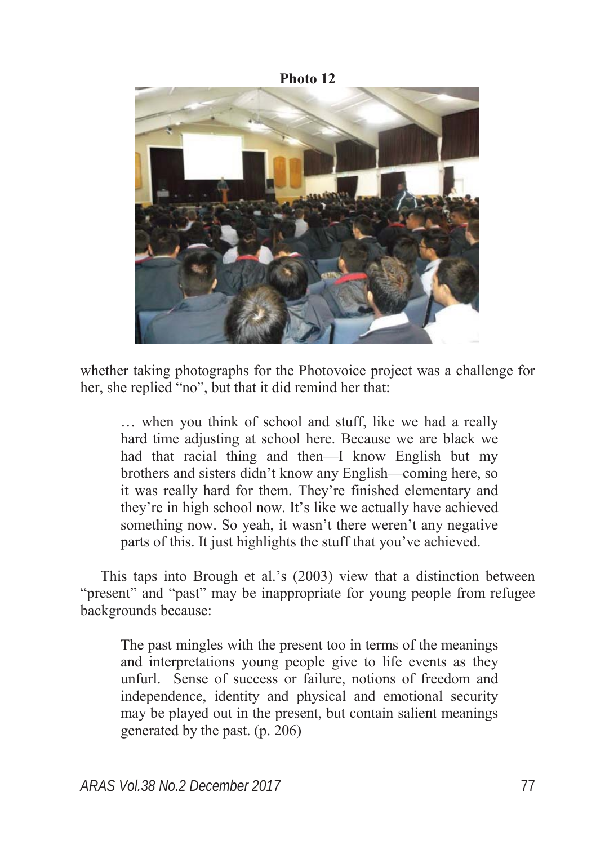

whether taking photographs for the Photovoice project was a challenge for her, she replied "no", but that it did remind her that:

… when you think of school and stuff, like we had a really hard time adjusting at school here. Because we are black we had that racial thing and then—I know English but my brothers and sisters didn't know any English—coming here, so it was really hard for them. They're finished elementary and they're in high school now. It's like we actually have achieved something now. So yeah, it wasn't there weren't any negative parts of this. It just highlights the stuff that you've achieved.

This taps into Brough et al.'s (2003) view that a distinction between "present" and "past" may be inappropriate for young people from refugee backgrounds because:

The past mingles with the present too in terms of the meanings and interpretations young people give to life events as they unfurl. Sense of success or failure, notions of freedom and independence, identity and physical and emotional security may be played out in the present, but contain salient meanings generated by the past. (p. 206)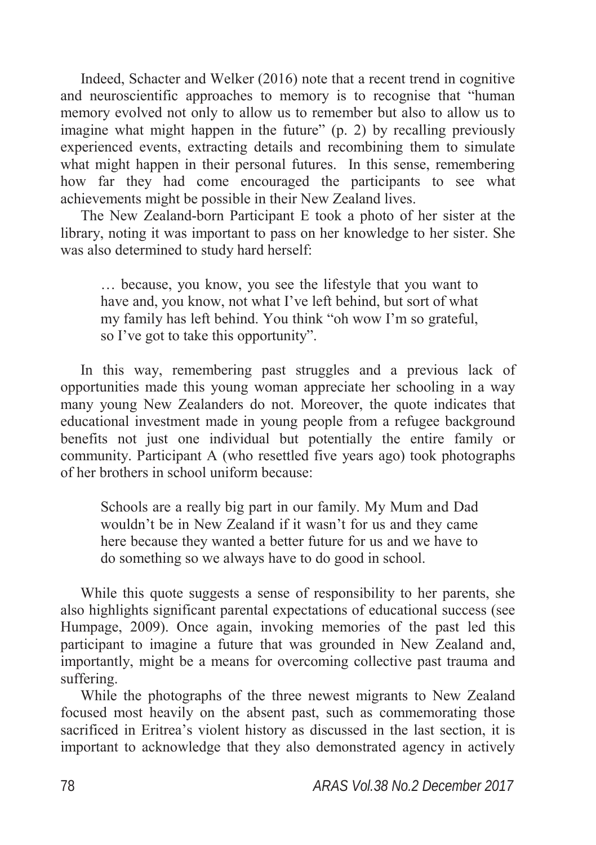Indeed, Schacter and Welker (2016) note that a recent trend in cognitive and neuroscientific approaches to memory is to recognise that "human memory evolved not only to allow us to remember but also to allow us to imagine what might happen in the future" (p. 2) by recalling previously experienced events, extracting details and recombining them to simulate what might happen in their personal futures. In this sense, remembering how far they had come encouraged the participants to see what achievements might be possible in their New Zealand lives.

The New Zealand-born Participant E took a photo of her sister at the library, noting it was important to pass on her knowledge to her sister. She was also determined to study hard herself:

… because, you know, you see the lifestyle that you want to have and, you know, not what I've left behind, but sort of what my family has left behind. You think "oh wow I'm so grateful, so I've got to take this opportunity".

In this way, remembering past struggles and a previous lack of opportunities made this young woman appreciate her schooling in a way many young New Zealanders do not. Moreover, the quote indicates that educational investment made in young people from a refugee background benefits not just one individual but potentially the entire family or community. Participant A (who resettled five years ago) took photographs of her brothers in school uniform because:

Schools are a really big part in our family. My Mum and Dad wouldn't be in New Zealand if it wasn't for us and they came here because they wanted a better future for us and we have to do something so we always have to do good in school.

While this quote suggests a sense of responsibility to her parents, she also highlights significant parental expectations of educational success (see Humpage, 2009). Once again, invoking memories of the past led this participant to imagine a future that was grounded in New Zealand and, importantly, might be a means for overcoming collective past trauma and suffering.

While the photographs of the three newest migrants to New Zealand focused most heavily on the absent past, such as commemorating those sacrificed in Eritrea's violent history as discussed in the last section, it is important to acknowledge that they also demonstrated agency in actively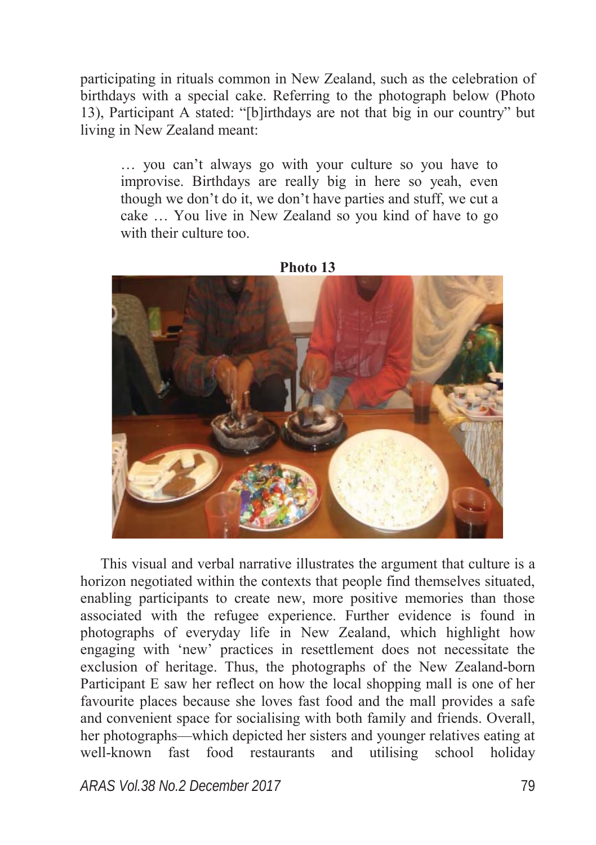participating in rituals common in New Zealand, such as the celebration of birthdays with a special cake. Referring to the photograph below (Photo 13), Participant A stated: "[b]irthdays are not that big in our country" but living in New Zealand meant:

… you can't always go with your culture so you have to improvise. Birthdays are really big in here so yeah, even though we don't do it, we don't have parties and stuff, we cut a cake … You live in New Zealand so you kind of have to go with their culture too.



**Photo 13**

This visual and verbal narrative illustrates the argument that culture is a horizon negotiated within the contexts that people find themselves situated, enabling participants to create new, more positive memories than those associated with the refugee experience. Further evidence is found in photographs of everyday life in New Zealand, which highlight how engaging with 'new' practices in resettlement does not necessitate the exclusion of heritage. Thus, the photographs of the New Zealand-born Participant E saw her reflect on how the local shopping mall is one of her favourite places because she loves fast food and the mall provides a safe and convenient space for socialising with both family and friends. Overall, her photographs—which depicted her sisters and younger relatives eating at well-known fast food restaurants and utilising school holiday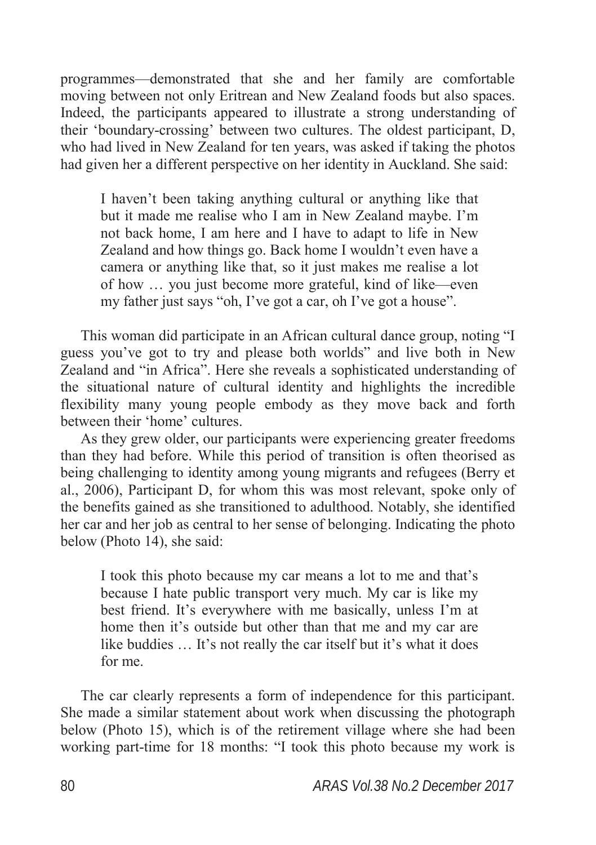programmes—demonstrated that she and her family are comfortable moving between not only Eritrean and New Zealand foods but also spaces. Indeed, the participants appeared to illustrate a strong understanding of their 'boundary-crossing' between two cultures. The oldest participant, D, who had lived in New Zealand for ten years, was asked if taking the photos had given her a different perspective on her identity in Auckland. She said:

I haven't been taking anything cultural or anything like that but it made me realise who I am in New Zealand maybe. I'm not back home, I am here and I have to adapt to life in New Zealand and how things go. Back home I wouldn't even have a camera or anything like that, so it just makes me realise a lot of how … you just become more grateful, kind of like—even my father just says "oh, I've got a car, oh I've got a house".

This woman did participate in an African cultural dance group, noting "I guess you've got to try and please both worlds" and live both in New Zealand and "in Africa". Here she reveals a sophisticated understanding of the situational nature of cultural identity and highlights the incredible flexibility many young people embody as they move back and forth between their 'home' cultures.

As they grew older, our participants were experiencing greater freedoms than they had before. While this period of transition is often theorised as being challenging to identity among young migrants and refugees (Berry et al., 2006), Participant D, for whom this was most relevant, spoke only of the benefits gained as she transitioned to adulthood. Notably, she identified her car and her job as central to her sense of belonging. Indicating the photo below (Photo 14), she said:

I took this photo because my car means a lot to me and that's because I hate public transport very much. My car is like my best friend. It's everywhere with me basically, unless I'm at home then it's outside but other than that me and my car are like buddies … It's not really the car itself but it's what it does for me.

The car clearly represents a form of independence for this participant. She made a similar statement about work when discussing the photograph below (Photo 15), which is of the retirement village where she had been working part-time for 18 months: "I took this photo because my work is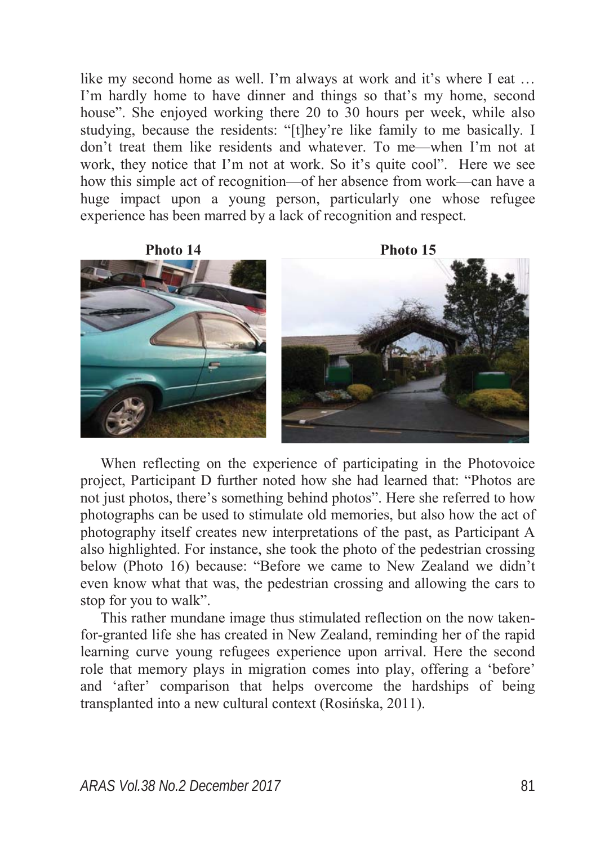like my second home as well. I'm always at work and it's where I eat … I'm hardly home to have dinner and things so that's my home, second house". She enjoyed working there 20 to 30 hours per week, while also studying, because the residents: "[t]hey're like family to me basically. I don't treat them like residents and whatever. To me—when I'm not at work, they notice that I'm not at work. So it's quite cool". Here we see how this simple act of recognition—of her absence from work—can have a huge impact upon a young person, particularly one whose refugee experience has been marred by a lack of recognition and respect.



When reflecting on the experience of participating in the Photovoice project, Participant D further noted how she had learned that: "Photos are not just photos, there's something behind photos". Here she referred to how photographs can be used to stimulate old memories, but also how the act of photography itself creates new interpretations of the past, as Participant A also highlighted. For instance, she took the photo of the pedestrian crossing below (Photo 16) because: "Before we came to New Zealand we didn't even know what that was, the pedestrian crossing and allowing the cars to stop for you to walk".

This rather mundane image thus stimulated reflection on the now takenfor-granted life she has created in New Zealand, reminding her of the rapid learning curve young refugees experience upon arrival. Here the second role that memory plays in migration comes into play, offering a 'before' and 'after' comparison that helps overcome the hardships of being transplanted into a new cultural context (Rosińska, 2011).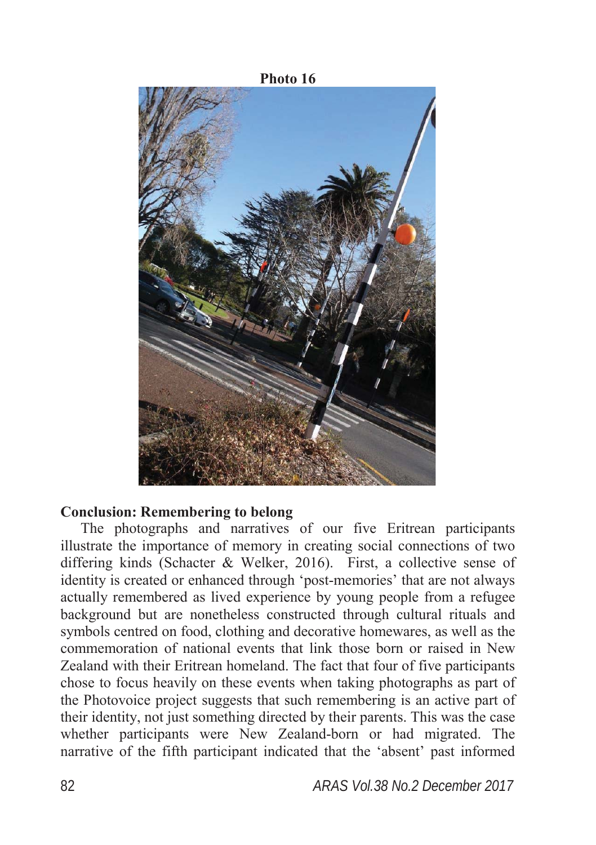# **Photo 16**

### **Conclusion: Remembering to belong**

The photographs and narratives of our five Eritrean participants illustrate the importance of memory in creating social connections of two differing kinds (Schacter & Welker, 2016). First, a collective sense of identity is created or enhanced through 'post-memories' that are not always actually remembered as lived experience by young people from a refugee background but are nonetheless constructed through cultural rituals and symbols centred on food, clothing and decorative homewares, as well as the commemoration of national events that link those born or raised in New Zealand with their Eritrean homeland. The fact that four of five participants chose to focus heavily on these events when taking photographs as part of the Photovoice project suggests that such remembering is an active part of their identity, not just something directed by their parents. This was the case whether participants were New Zealand-born or had migrated. The narrative of the fifth participant indicated that the 'absent' past informed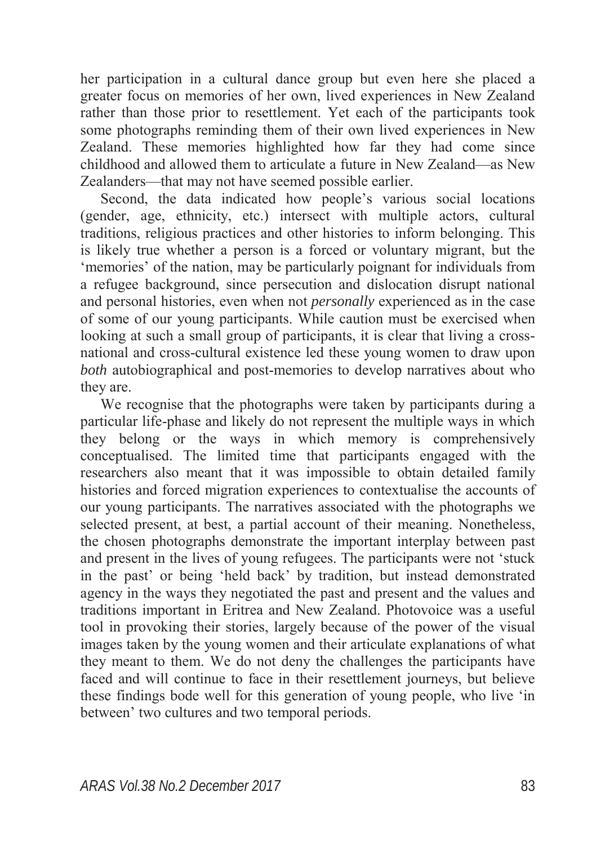her participation in a cultural dance group but even here she placed a greater focus on memories of her own, lived experiences in New Zealand rather than those prior to resettlement. Yet each of the participants took some photographs reminding them of their own lived experiences in New Zealand. These memories highlighted how far they had come since childhood and allowed them to articulate a future in New Zealand—as New Zealanders—that may not have seemed possible earlier.

Second, the data indicated how people's various social locations (gender, age, ethnicity, etc.) intersect with multiple actors, cultural traditions, religious practices and other histories to inform belonging. This is likely true whether a person is a forced or voluntary migrant, but the 'memories' of the nation, may be particularly poignant for individuals from a refugee background, since persecution and dislocation disrupt national and personal histories, even when not *personally* experienced as in the case of some of our young participants. While caution must be exercised when looking at such a small group of participants, it is clear that living a crossnational and cross-cultural existence led these young women to draw upon *both* autobiographical and post-memories to develop narratives about who they are.

We recognise that the photographs were taken by participants during a particular life-phase and likely do not represent the multiple ways in which they belong or the ways in which memory is comprehensively conceptualised. The limited time that participants engaged with the researchers also meant that it was impossible to obtain detailed family histories and forced migration experiences to contextualise the accounts of our young participants. The narratives associated with the photographs we selected present, at best, a partial account of their meaning. Nonetheless, the chosen photographs demonstrate the important interplay between past and present in the lives of young refugees. The participants were not 'stuck in the past' or being 'held back' by tradition, but instead demonstrated agency in the ways they negotiated the past and present and the values and traditions important in Eritrea and New Zealand. Photovoice was a useful tool in provoking their stories, largely because of the power of the visual images taken by the young women and their articulate explanations of what they meant to them. We do not deny the challenges the participants have faced and will continue to face in their resettlement journeys, but believe these findings bode well for this generation of young people, who live 'in between' two cultures and two temporal periods.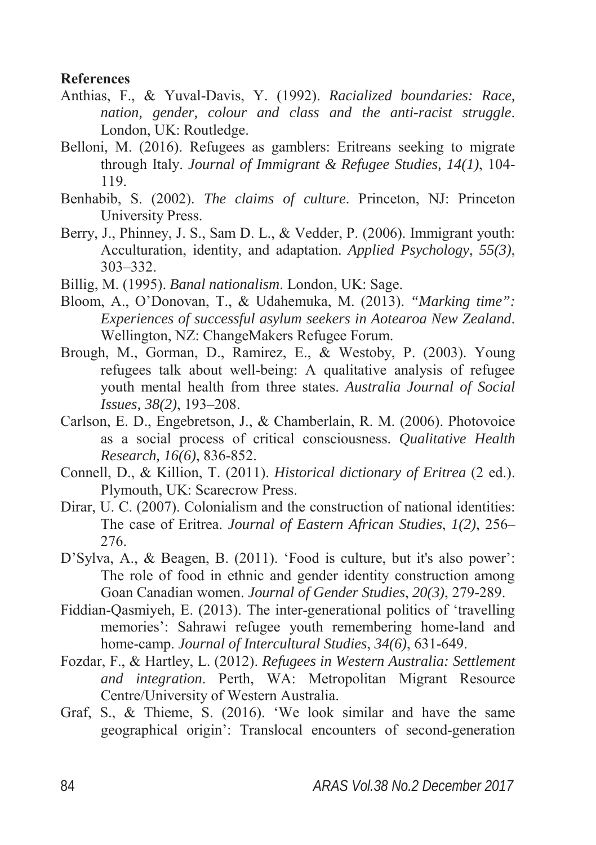### **References**

- Anthias, F., & Yuval-Davis, Y. (1992). *Racialized boundaries: Race, nation, gender, colour and class and the anti-racist struggle*. London, UK: Routledge.
- Belloni, M. (2016). Refugees as gamblers: Eritreans seeking to migrate through Italy. *Journal of Immigrant & Refugee Studies, 14(1)*, 104- 119.
- Benhabib, S. (2002). *The claims of culture*. Princeton, NJ: Princeton University Press.
- Berry, J., Phinney, J. S., Sam D. L., & Vedder, P. (2006). Immigrant youth: Acculturation, identity, and adaptation. *Applied Psychology*, *55(3)*, 303–332.
- Billig, M. (1995). *Banal nationalism*. London, UK: Sage.
- Bloom, A., O'Donovan, T., & Udahemuka, M. (2013). *"Marking time": Experiences of successful asylum seekers in Aotearoa New Zealand*. Wellington, NZ: ChangeMakers Refugee Forum.
- Brough, M., Gorman, D., Ramirez, E., & Westoby, P. (2003). Young refugees talk about well-being: A qualitative analysis of refugee youth mental health from three states. *Australia Journal of Social Issues, 38(2)*, 193–208.
- Carlson, E. D., Engebretson, J., & Chamberlain, R. M. (2006). Photovoice as a social process of critical consciousness. *Qualitative Health Research, 16(6)*, 836-852.
- Connell, D., & Killion, T. (2011). *Historical dictionary of Eritrea* (2 ed.). Plymouth, UK: Scarecrow Press.
- Dirar, U. C. (2007). Colonialism and the construction of national identities: The case of Eritrea. *Journal of Eastern African Studies*, *1(2)*, 256– 276.
- D'Sylva, A., & Beagen, B. (2011). 'Food is culture, but it's also power': The role of food in ethnic and gender identity construction among Goan Canadian women. *Journal of Gender Studies*, *20(3)*, 279-289.
- Fiddian-Qasmiyeh, E. (2013). The inter-generational politics of 'travelling memories': Sahrawi refugee youth remembering home-land and home-camp. *Journal of Intercultural Studies*, *34(6)*, 631-649.
- Fozdar, F., & Hartley, L. (2012). *Refugees in Western Australia: Settlement and integration*. Perth, WA: Metropolitan Migrant Resource Centre/University of Western Australia.
- Graf, S., & Thieme, S. (2016). 'We look similar and have the same geographical origin': Translocal encounters of second-generation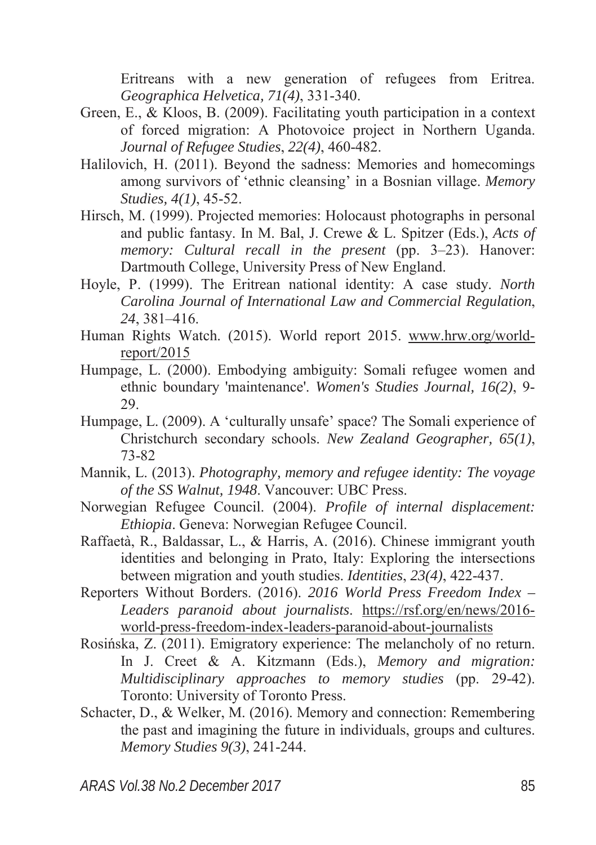Eritreans with a new generation of refugees from Eritrea. *Geographica Helvetica, 71(4)*, 331-340.

- Green, E., & Kloos, B. (2009). Facilitating youth participation in a context of forced migration: A Photovoice project in Northern Uganda. *Journal of Refugee Studies*, *22(4)*, 460-482.
- Halilovich, H. (2011). Beyond the sadness: Memories and homecomings among survivors of 'ethnic cleansing' in a Bosnian village. *Memory Studies, 4(1)*, 45-52.
- Hirsch, M. (1999). Projected memories: Holocaust photographs in personal and public fantasy. In M. Bal, J. Crewe & L. Spitzer (Eds.), *Acts of memory: Cultural recall in the present* (pp. 3–23). Hanover: Dartmouth College, University Press of New England.
- Hoyle, P. (1999). The Eritrean national identity: A case study. *North Carolina Journal of International Law and Commercial Regulation*, *24*, 381–416.
- Human Rights Watch. (2015). World report 2015. www.hrw.org/worldreport/2015
- Humpage, L. (2000). Embodying ambiguity: Somali refugee women and ethnic boundary 'maintenance'. *Women's Studies Journal, 16(2)*, 9- 29.
- Humpage, L. (2009). A 'culturally unsafe' space? The Somali experience of Christchurch secondary schools. *New Zealand Geographer, 65(1)*, 73-82
- Mannik, L. (2013). *Photography, memory and refugee identity: The voyage of the SS Walnut, 1948*. Vancouver: UBC Press.
- Norwegian Refugee Council. (2004). *Profile of internal displacement: Ethiopia*. Geneva: Norwegian Refugee Council.
- Raffaetà, R., Baldassar, L., & Harris, A. (2016). Chinese immigrant youth identities and belonging in Prato, Italy: Exploring the intersections between migration and youth studies. *Identities*, *23(4)*, 422-437.
- Reporters Without Borders. (2016). *2016 World Press Freedom Index – Leaders paranoid about journalists*. https://rsf.org/en/news/2016 world-press-freedom-index-leaders-paranoid-about-journalists
- Rosińska, Z. (2011). Emigratory experience: The melancholy of no return. In J. Creet & A. Kitzmann (Eds.), *Memory and migration: Multidisciplinary approaches to memory studies* (pp. 29-42). Toronto: University of Toronto Press.
- Schacter, D., & Welker, M. (2016). Memory and connection: Remembering the past and imagining the future in individuals, groups and cultures. *Memory Studies 9(3)*, 241-244.